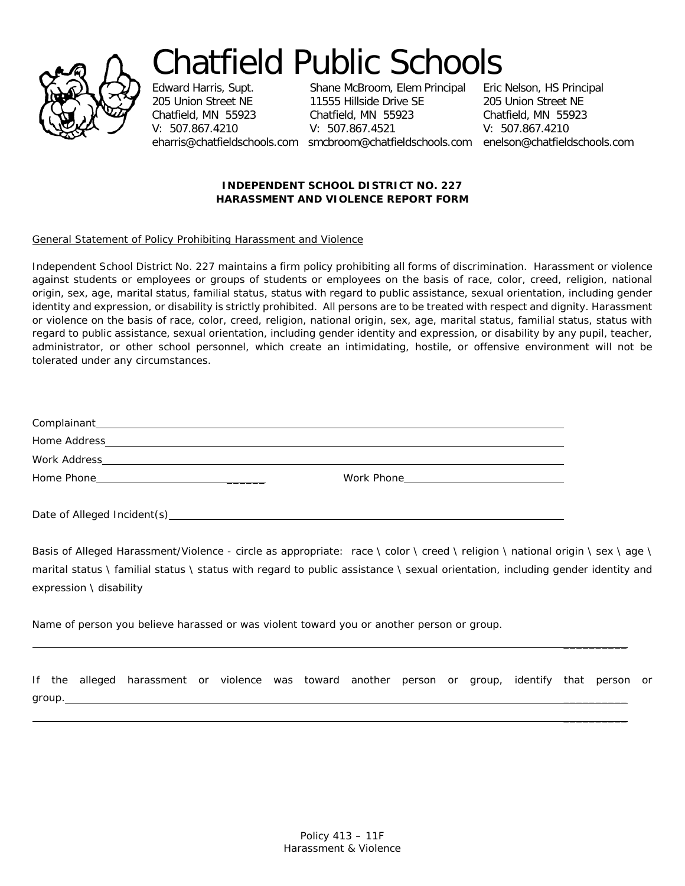

## Chatfield Public Schools<br>Edward Harris, Supt. Shane McBroom, Elem Principal Eric Nelson, HS Principal

Shane McBroom, Elem Principal 205 Union Street NE 11555 Hillside Drive SE 205 Union Street NE Chatfield, MN 55923 Chatfield, MN 55923 Chatfield, MN 55923  $V: 507.867.4521$ 

eharris@chatfieldschools.com smcbroom@chatfieldschools.com enelson@chatfieldschools.com

 $\overline{\phantom{a}}$  , where  $\overline{\phantom{a}}$ 

 $\overline{\phantom{a}}$  , where  $\overline{\phantom{a}}$ 

## **INDEPENDENT SCHOOL DISTRICT NO. 227 HARASSMENT AND VIOLENCE REPORT FORM**

## General Statement of Policy Prohibiting Harassment and Violence

Independent School District No. 227 maintains a firm policy prohibiting all forms of discrimination. Harassment or violence against students or employees or groups of students or employees on the basis of race, color, creed, religion, national origin, sex, age, marital status, familial status, status with regard to public assistance, sexual orientation, including gender identity and expression, or disability is strictly prohibited. All persons are to be treated with respect and dignity. Harassment or violence on the basis of race, color, creed, religion, national origin, sex, age, marital status, familial status, status with regard to public assistance, sexual orientation, including gender identity and expression, or disability by any pupil, teacher, administrator, or other school personnel, which create an intimidating, hostile, or offensive environment will not be tolerated under any circumstances.

| Date of Alleged Incident(s) |  |
|-----------------------------|--|

Basis of Alleged Harassment/Violence - circle as appropriate: race \ color \ creed \ religion \ national origin \ sex \ age \ marital status \ familial status \ status with regard to public assistance \ sexual orientation, including gender identity and expression \ disability

Name of person you believe harassed or was violent toward you or another person or group.

|        | If the alleged harassment or violence was toward another person or group, identify that person or |  |  |  |  |  |  |
|--------|---------------------------------------------------------------------------------------------------|--|--|--|--|--|--|
| group. |                                                                                                   |  |  |  |  |  |  |